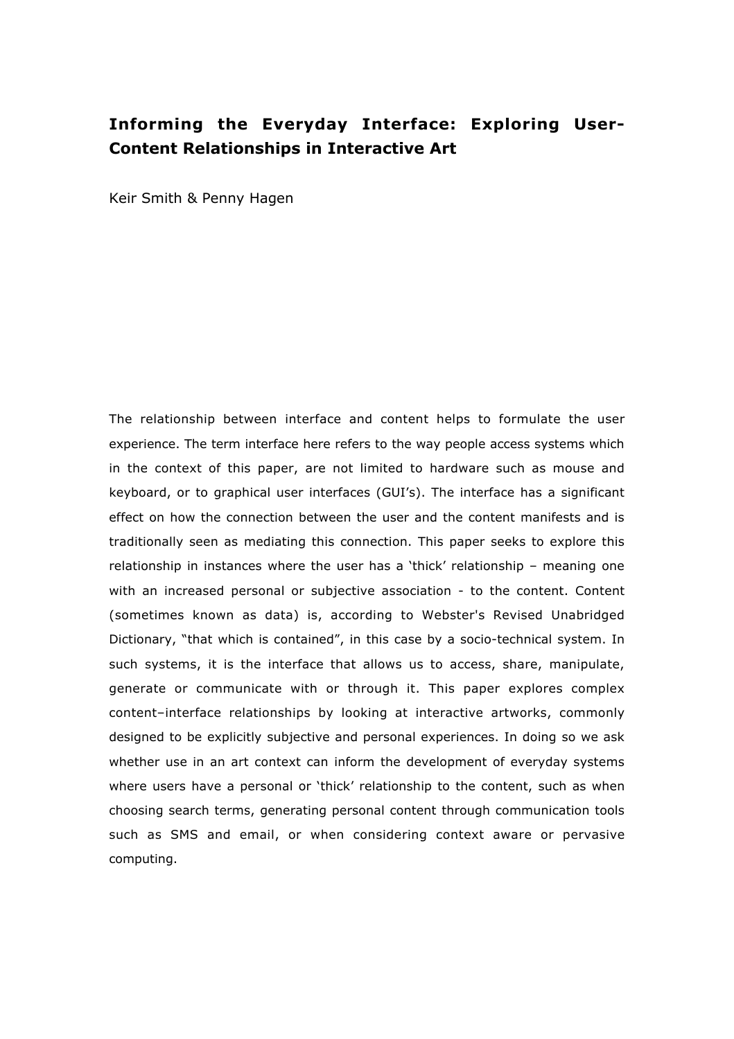# **Informing the Everyday Interface: Exploring User-Content Relationships in Interactive Art**

Keir Smith & Penny Hagen

The relationship between interface and content helps to formulate the user experience. The term interface here refers to the way people access systems which in the context of this paper, are not limited to hardware such as mouse and keyboard, or to graphical user interfaces (GUI's). The interface has a significant effect on how the connection between the user and the content manifests and is traditionally seen as mediating this connection. This paper seeks to explore this relationship in instances where the user has a 'thick' relationship – meaning one with an increased personal or subjective association - to the content. Content (sometimes known as data) is, according to Webster's Revised Unabridged Dictionary, "that which is contained", in this case by a socio-technical system. In such systems, it is the interface that allows us to access, share, manipulate, generate or communicate with or through it. This paper explores complex content–interface relationships by looking at interactive artworks, commonly designed to be explicitly subjective and personal experiences. In doing so we ask whether use in an art context can inform the development of everyday systems where users have a personal or 'thick' relationship to the content, such as when choosing search terms, generating personal content through communication tools such as SMS and email, or when considering context aware or pervasive computing.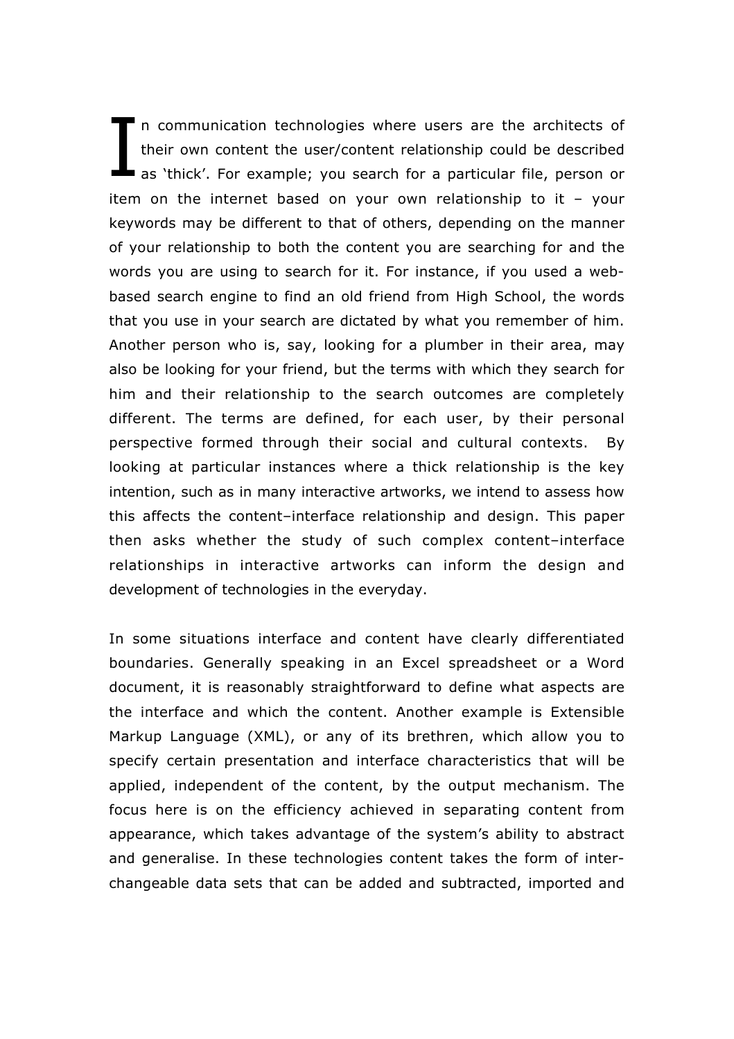n communication technologies where users are the architects of their own content the user/content relationship could be described as 'thick'. For example; you search for a particular file, person or item on the internet based on your own relationship to it – your keywords may be different to that of others, depending on the manner of your relationship to both the content you are searching for and the words you are using to search for it. For instance, if you used a webbased search engine to find an old friend from High School, the words that you use in your search are dictated by what you remember of him. Another person who is, say, looking for a plumber in their area, may also be looking for your friend, but the terms with which they search for him and their relationship to the search outcomes are completely different. The terms are defined, for each user, by their personal perspective formed through their social and cultural contexts. By looking at particular instances where a thick relationship is the key intention, such as in many interactive artworks, we intend to assess how this affects the content–interface relationship and design. This paper then asks whether the study of such complex content–interface relationships in interactive artworks can inform the design and development of technologies in the everyday. I

In some situations interface and content have clearly differentiated boundaries. Generally speaking in an Excel spreadsheet or a Word document, it is reasonably straightforward to define what aspects are the interface and which the content. Another example is Extensible Markup Language (XML), or any of its brethren, which allow you to specify certain presentation and interface characteristics that will be applied, independent of the content, by the output mechanism. The focus here is on the efficiency achieved in separating content from appearance, which takes advantage of the system's ability to abstract and generalise. In these technologies content takes the form of interchangeable data sets that can be added and subtracted, imported and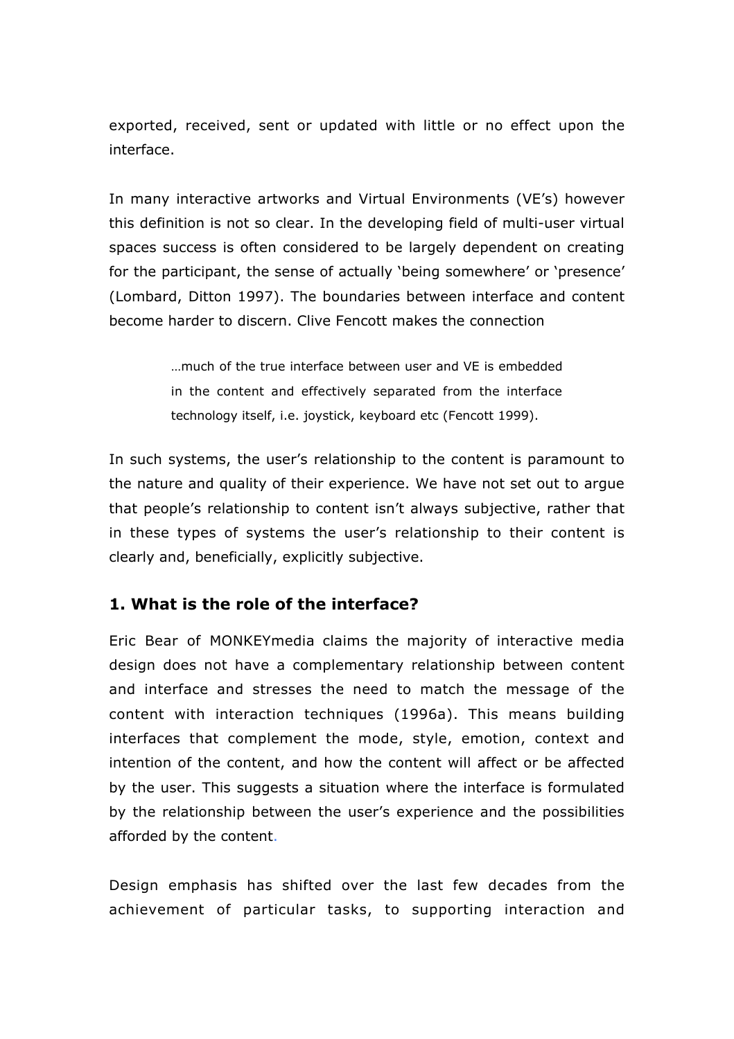exported, received, sent or updated with little or no effect upon the interface.

In many interactive artworks and Virtual Environments (VE's) however this definition is not so clear. In the developing field of multi-user virtual spaces success is often considered to be largely dependent on creating for the participant, the sense of actually 'being somewhere' or 'presence' (Lombard, Ditton 1997). The boundaries between interface and content become harder to discern. Clive Fencott makes the connection

> …much of the true interface between user and VE is embedded in the content and effectively separated from the interface technology itself, i.e. joystick, keyboard etc (Fencott 1999).

In such systems, the user's relationship to the content is paramount to the nature and quality of their experience. We have not set out to argue that people's relationship to content isn't always subjective, rather that in these types of systems the user's relationship to their content is clearly and, beneficially, explicitly subjective.

### **1. What is the role of the interface?**

Eric Bear of MONKEYmedia claims the majority of interactive media design does not have a complementary relationship between content and interface and stresses the need to match the message of the content with interaction techniques (1996a). This means building interfaces that complement the mode, style, emotion, context and intention of the content, and how the content will affect or be affected by the user. This suggests a situation where the interface is formulated by the relationship between the user's experience and the possibilities afforded by the content.

Design emphasis has shifted over the last few decades from the achievement of particular tasks, to supporting interaction and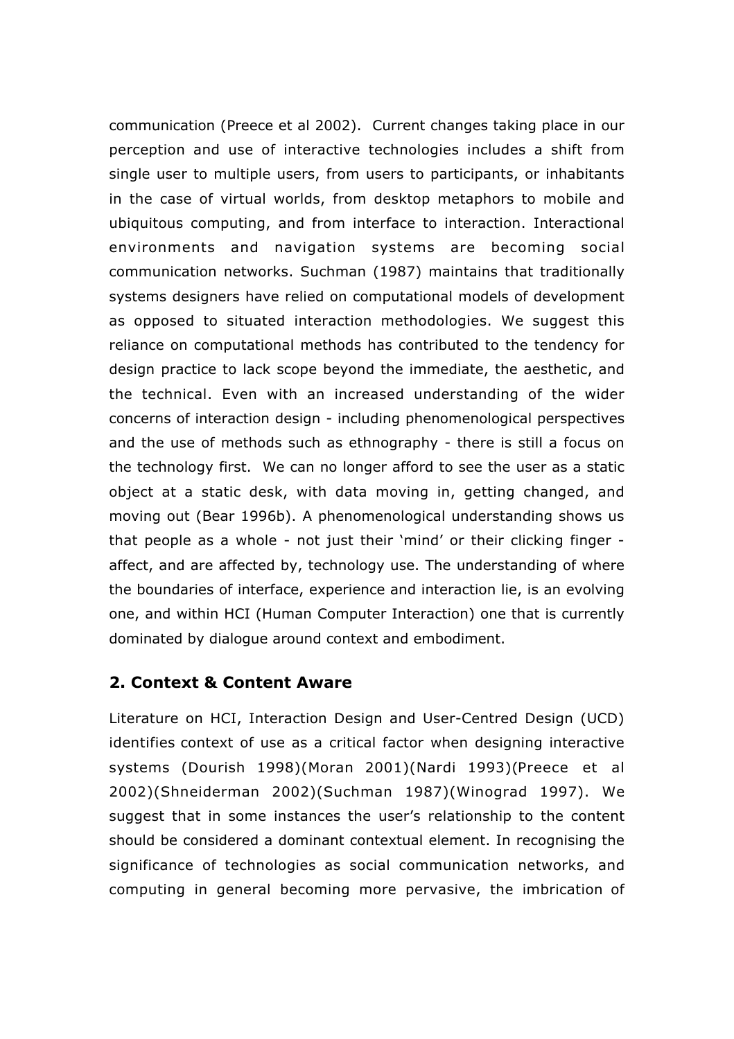communication (Preece et al 2002).Current changes taking place in our perception and use of interactive technologies includes a shift from single user to multiple users, from users to participants, or inhabitants in the case of virtual worlds, from desktop metaphors to mobile and ubiquitous computing, and from interface to interaction. Interactional environments and navigation systems are becoming social communication networks. Suchman (1987) maintains that traditionally systems designers have relied on computational models of development as opposed to situated interaction methodologies. We suggest this reliance on computational methods has contributed to the tendency for design practice to lack scope beyond the immediate, the aesthetic, and the technical. Even with an increased understanding of the wider concerns of interaction design - including phenomenological perspectives and the use of methods such as ethnography - there is still a focus on the technology first. We can no longer afford to see the user as a static object at a static desk, with data moving in, getting changed, and moving out (Bear 1996b). A phenomenological understanding shows us that people as a whole - not just their 'mind' or their clicking finger affect, and are affected by, technology use. The understanding of where the boundaries of interface, experience and interaction lie, is an evolving one, and within HCI (Human Computer Interaction) one that is currently dominated by dialogue around context and embodiment.

#### **2. Context & Content Aware**

Literature on HCI, Interaction Design and User-Centred Design (UCD) identifies context of use as a critical factor when designing interactive systems (Dourish 1998)(Moran 2001)(Nardi 1993)(Preece et al 2002)(Shneiderman 2002)(Suchman 1987)(Winograd 1997). We suggest that in some instances the user's relationship to the content should be considered a dominant contextual element. In recognising the significance of technologies as social communication networks, and computing in general becoming more pervasive, the imbrication of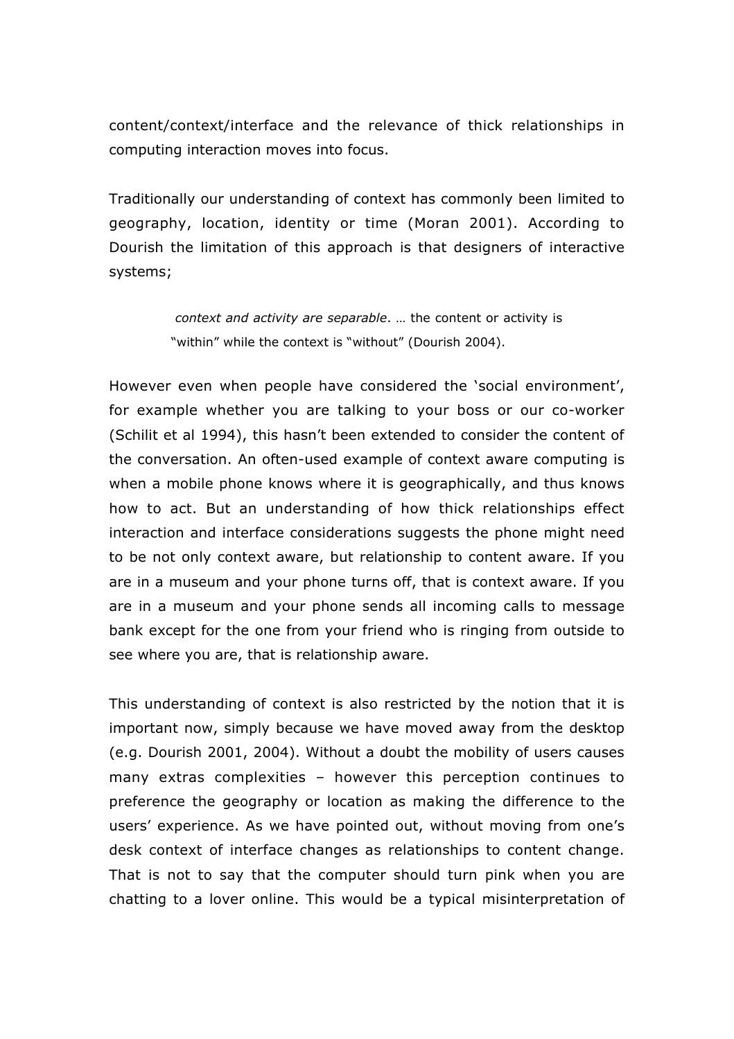content/context/interface and the relevance of thick relationships in computing interaction moves into focus.

Traditionally our understanding of context has commonly been limited to geography, location, identity or time (Moran 2001). According to Dourish the limitation of this approach is that designers of interactive systems;

> *context and activity are separable*. … the content or activity is "within" while the context is "without" (Dourish 2004).

However even when people have considered the 'social environment', for example whether you are talking to your boss or our co-worker (Schilit et al 1994), this hasn't been extended to consider the content of the conversation. An often-used example of context aware computing is when a mobile phone knows where it is geographically, and thus knows how to act. But an understanding of how thick relationships effect interaction and interface considerations suggests the phone might need to be not only context aware, but relationship to content aware. If you are in a museum and your phone turns off, that is context aware. If you are in a museum and your phone sends all incoming calls to message bank except for the one from your friend who is ringing from outside to see where you are, that is relationship aware.

This understanding of context is also restricted by the notion that it is important now, simply because we have moved away from the desktop (e.g. Dourish 2001, 2004). Without a doubt the mobility of users causes many extras complexities – however this perception continues to preference the geography or location as making the difference to the users' experience. As we have pointed out, without moving from one's desk context of interface changes as relationships to content change. That is not to say that the computer should turn pink when you are chatting to a lover online. This would be a typical misinterpretation of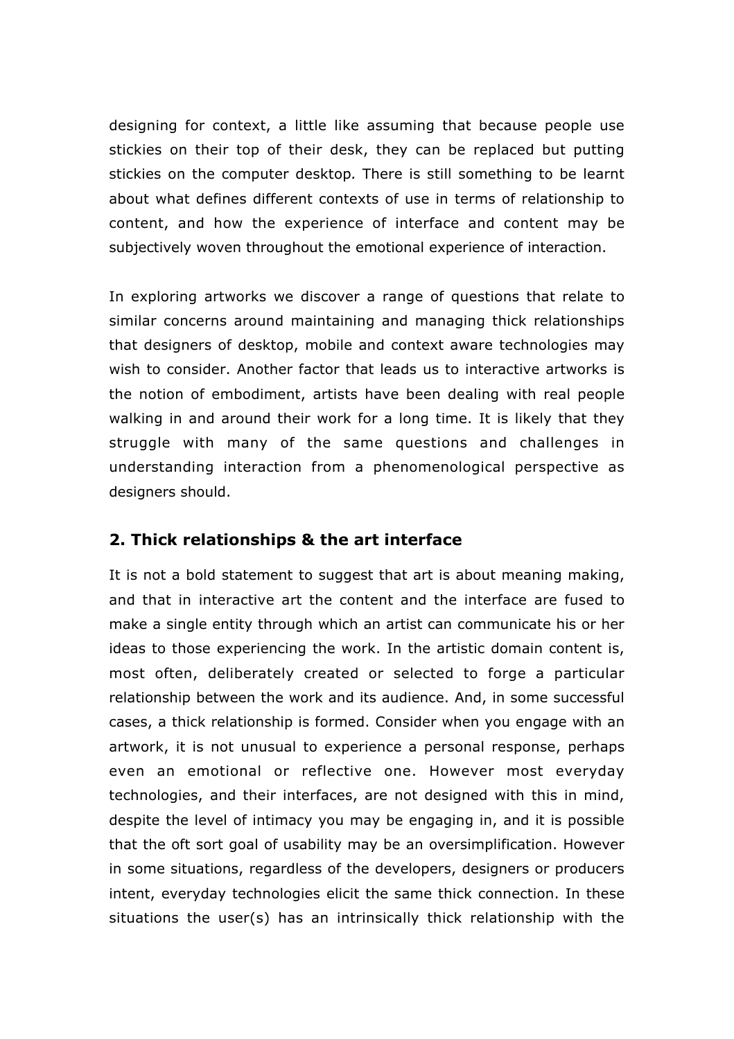designing for context, a little like assuming that because people use stickies on their top of their desk, they can be replaced but putting stickies on the computer desktop*.* There is still something to be learnt about what defines different contexts of use in terms of relationship to content, and how the experience of interface and content may be subjectively woven throughout the emotional experience of interaction.

In exploring artworks we discover a range of questions that relate to similar concerns around maintaining and managing thick relationships that designers of desktop, mobile and context aware technologies may wish to consider. Another factor that leads us to interactive artworks is the notion of embodiment, artists have been dealing with real people walking in and around their work for a long time. It is likely that they struggle with many of the same questions and challenges in understanding interaction from a phenomenological perspective as designers should.

#### **2. Thick relationships & the art interface**

It is not a bold statement to suggest that art is about meaning making, and that in interactive art the content and the interface are fused to make a single entity through which an artist can communicate his or her ideas to those experiencing the work. In the artistic domain content is, most often, deliberately created or selected to forge a particular relationship between the work and its audience. And, in some successful cases, a thick relationship is formed. Consider when you engage with an artwork, it is not unusual to experience a personal response, perhaps even an emotional or reflective one. However most everyday technologies, and their interfaces, are not designed with this in mind, despite the level of intimacy you may be engaging in, and it is possible that the oft sort goal of usability may be an oversimplification. However in some situations, regardless of the developers, designers or producers intent, everyday technologies elicit the same thick connection. In these situations the user(s) has an intrinsically thick relationship with the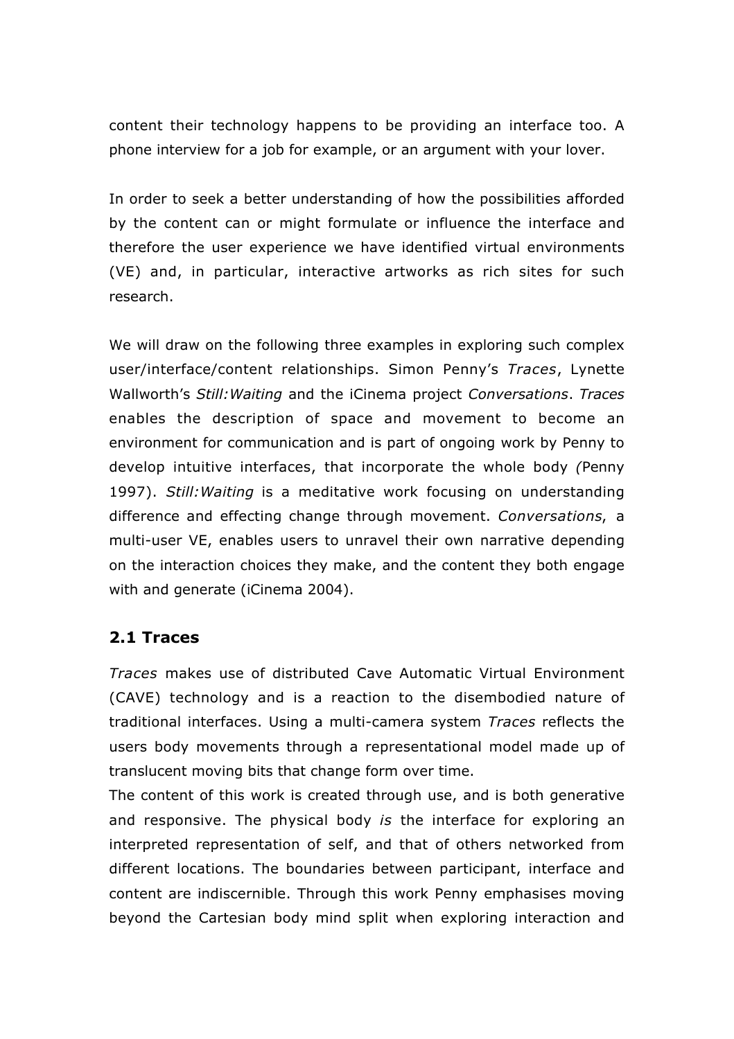content their technology happens to be providing an interface too. A phone interview for a job for example, or an argument with your lover.

In order to seek a better understanding of how the possibilities afforded by the content can or might formulate or influence the interface and therefore the user experience we have identified virtual environments (VE) and, in particular, interactive artworks as rich sites for such research.

We will draw on the following three examples in exploring such complex user/interface/content relationships. Simon Penny's *Traces*, Lynette Wallworth's *Still:Waiting* and the iCinema project *Conversations*. *Traces* enables the description of space and movement to become an environment for communication and is part of ongoing work by Penny to develop intuitive interfaces, that incorporate the whole body *(*Penny 1997). *Still:Waiting* is a meditative work focusing on understanding difference and effecting change through movement. *Conversations*, a multi-user VE, enables users to unravel their own narrative depending on the interaction choices they make, and the content they both engage with and generate (iCinema 2004).

#### **2.1 Traces**

*Traces* makes use of distributed Cave Automatic Virtual Environment (CAVE) technology and is a reaction to the disembodied nature of traditional interfaces. Using a multi-camera system *Traces* reflects the users body movements through a representational model made up of translucent moving bits that change form over time.

The content of this work is created through use, and is both generative and responsive. The physical body *is* the interface for exploring an interpreted representation of self, and that of others networked from different locations. The boundaries between participant, interface and content are indiscernible. Through this work Penny emphasises moving beyond the Cartesian body mind split when exploring interaction and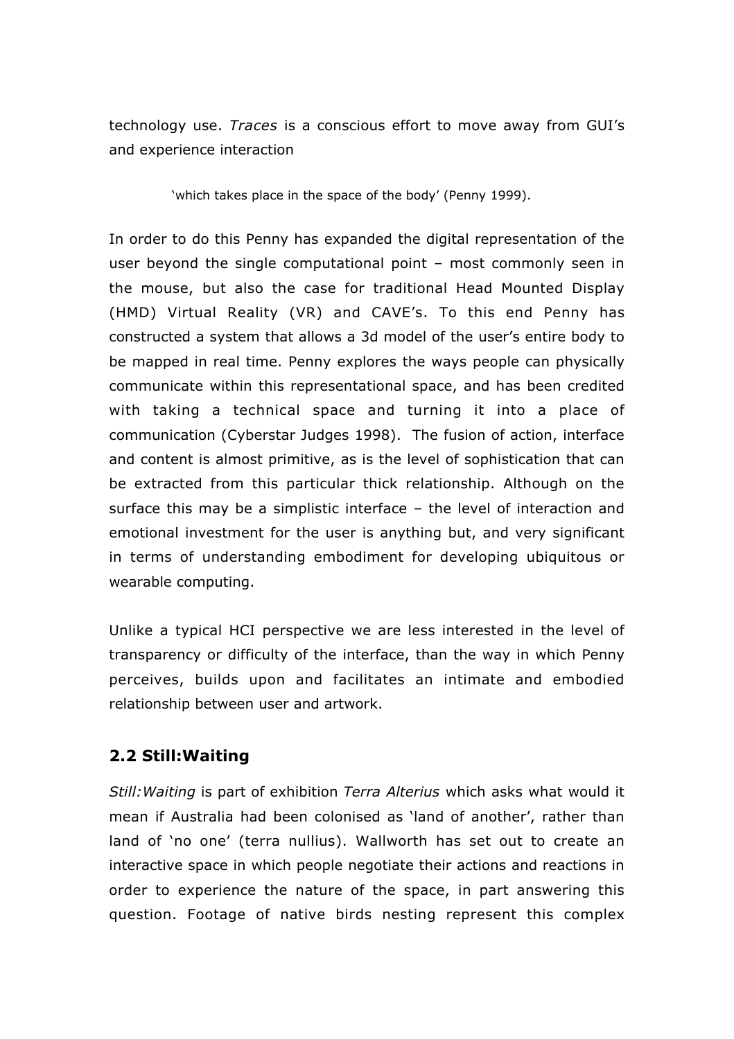technology use. *Traces* is a conscious effort to move away from GUI's and experience interaction

'which takes place in the space of the body' (Penny 1999).

In order to do this Penny has expanded the digital representation of the user beyond the single computational point – most commonly seen in the mouse, but also the case for traditional Head Mounted Display (HMD) Virtual Reality (VR) and CAVE's. To this end Penny has constructed a system that allows a 3d model of the user's entire body to be mapped in real time. Penny explores the ways people can physically communicate within this representational space, and has been credited with taking a technical space and turning it into a place of communication (Cyberstar Judges 1998). The fusion of action, interface and content is almost primitive, as is the level of sophistication that can be extracted from this particular thick relationship. Although on the surface this may be a simplistic interface – the level of interaction and emotional investment for the user is anything but, and very significant in terms of understanding embodiment for developing ubiquitous or wearable computing.

Unlike a typical HCI perspective we are less interested in the level of transparency or difficulty of the interface, than the way in which Penny perceives, builds upon and facilitates an intimate and embodied relationship between user and artwork.

## **2.2 Still:Waiting**

*Still:Waiting* is part of exhibition *Terra Alterius* which asks what would it mean if Australia had been colonised as 'land of another', rather than land of 'no one' (terra nullius). Wallworth has set out to create an interactive space in which people negotiate their actions and reactions in order to experience the nature of the space, in part answering this question. Footage of native birds nesting represent this complex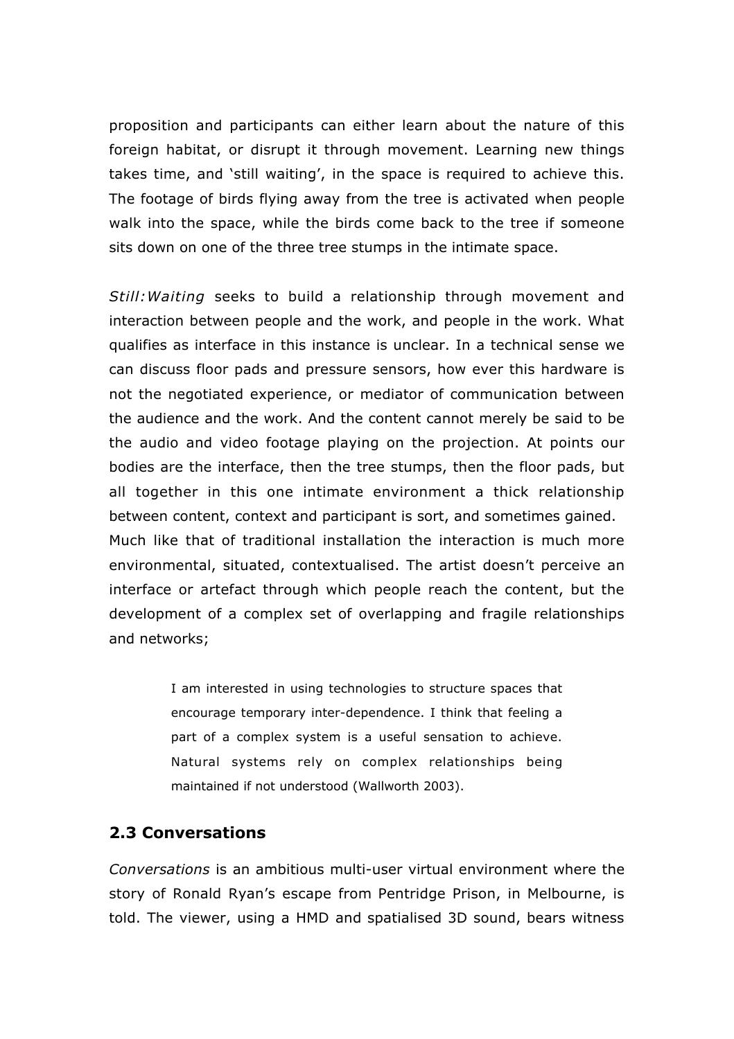proposition and participants can either learn about the nature of this foreign habitat, or disrupt it through movement. Learning new things takes time, and 'still waiting', in the space is required to achieve this. The footage of birds flying away from the tree is activated when people walk into the space, while the birds come back to the tree if someone sits down on one of the three tree stumps in the intimate space.

*Still:Waiting* seeks to build a relationship through movement and interaction between people and the work, and people in the work. What qualifies as interface in this instance is unclear. In a technical sense we can discuss floor pads and pressure sensors, how ever this hardware is not the negotiated experience, or mediator of communication between the audience and the work. And the content cannot merely be said to be the audio and video footage playing on the projection. At points our bodies are the interface, then the tree stumps, then the floor pads, but all together in this one intimate environment a thick relationship between content, context and participant is sort, and sometimes gained. Much like that of traditional installation the interaction is much more environmental, situated, contextualised. The artist doesn't perceive an interface or artefact through which people reach the content, but the development of a complex set of overlapping and fragile relationships and networks;

> I am interested in using technologies to structure spaces that encourage temporary inter-dependence. I think that feeling a part of a complex system is a useful sensation to achieve. Natural systems rely on complex relationships being maintained if not understood (Wallworth 2003).

#### **2.3 Conversations**

*Conversations* is an ambitious multi-user virtual environment where the story of Ronald Ryan's escape from Pentridge Prison, in Melbourne, is told. The viewer, using a HMD and spatialised 3D sound, bears witness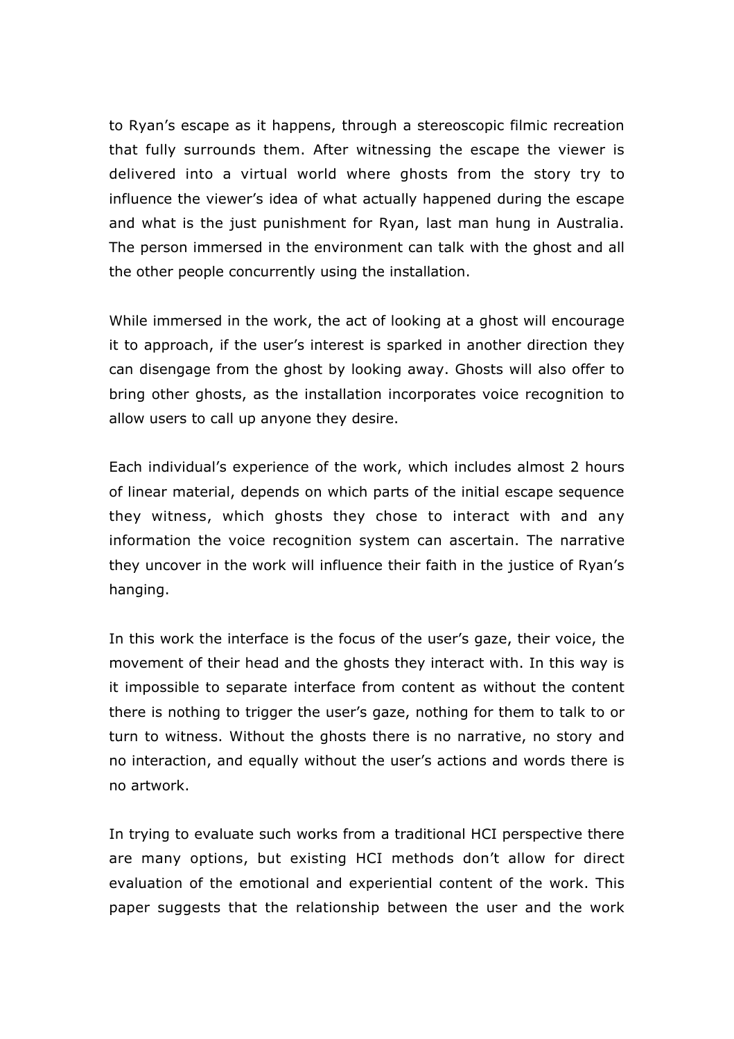to Ryan's escape as it happens, through a stereoscopic filmic recreation that fully surrounds them. After witnessing the escape the viewer is delivered into a virtual world where ghosts from the story try to influence the viewer's idea of what actually happened during the escape and what is the just punishment for Ryan, last man hung in Australia. The person immersed in the environment can talk with the ghost and all the other people concurrently using the installation.

While immersed in the work, the act of looking at a ghost will encourage it to approach, if the user's interest is sparked in another direction they can disengage from the ghost by looking away. Ghosts will also offer to bring other ghosts, as the installation incorporates voice recognition to allow users to call up anyone they desire.

Each individual's experience of the work, which includes almost 2 hours of linear material, depends on which parts of the initial escape sequence they witness, which ghosts they chose to interact with and any information the voice recognition system can ascertain. The narrative they uncover in the work will influence their faith in the justice of Ryan's hanging.

In this work the interface is the focus of the user's gaze, their voice, the movement of their head and the ghosts they interact with. In this way is it impossible to separate interface from content as without the content there is nothing to trigger the user's gaze, nothing for them to talk to or turn to witness. Without the ghosts there is no narrative, no story and no interaction, and equally without the user's actions and words there is no artwork.

In trying to evaluate such works from a traditional HCI perspective there are many options, but existing HCI methods don't allow for direct evaluation of the emotional and experiential content of the work. This paper suggests that the relationship between the user and the work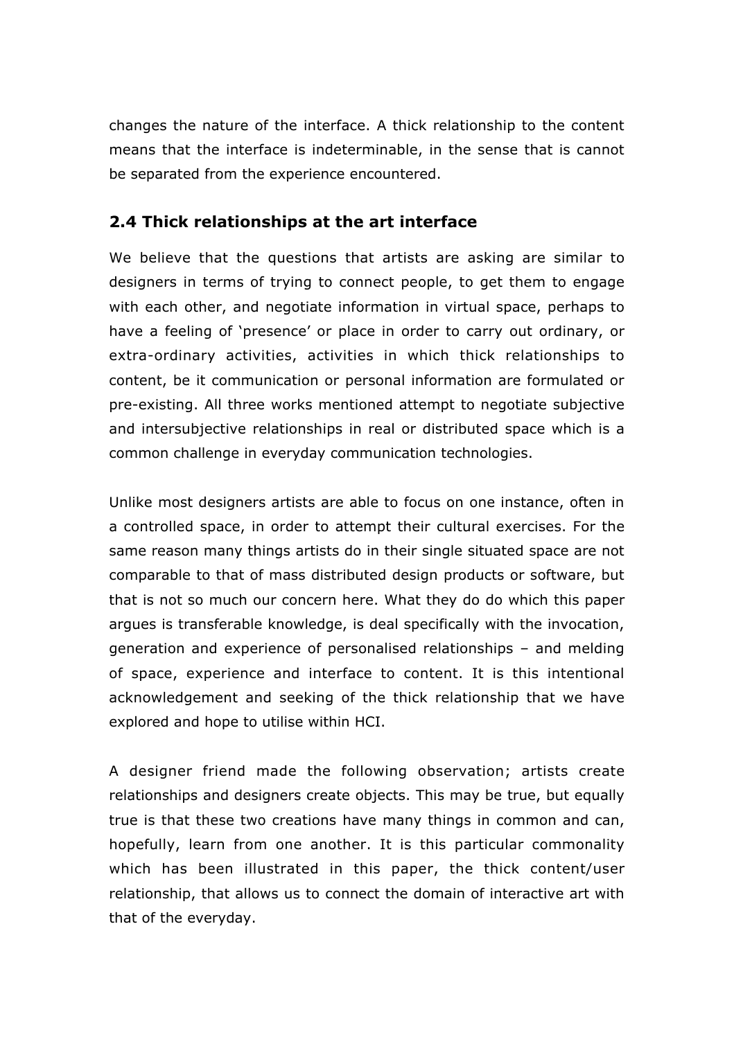changes the nature of the interface. A thick relationship to the content means that the interface is indeterminable, in the sense that is cannot be separated from the experience encountered.

## **2.4 Thick relationships at the art interface**

We believe that the questions that artists are asking are similar to designers in terms of trying to connect people, to get them to engage with each other, and negotiate information in virtual space, perhaps to have a feeling of 'presence' or place in order to carry out ordinary, or extra-ordinary activities, activities in which thick relationships to content, be it communication or personal information are formulated or pre-existing. All three works mentioned attempt to negotiate subjective and intersubjective relationships in real or distributed space which is a common challenge in everyday communication technologies.

Unlike most designers artists are able to focus on one instance, often in a controlled space, in order to attempt their cultural exercises. For the same reason many things artists do in their single situated space are not comparable to that of mass distributed design products or software, but that is not so much our concern here. What they do do which this paper argues is transferable knowledge, is deal specifically with the invocation, generation and experience of personalised relationships – and melding of space, experience and interface to content. It is this intentional acknowledgement and seeking of the thick relationship that we have explored and hope to utilise within HCI.

A designer friend made the following observation; artists create relationships and designers create objects. This may be true, but equally true is that these two creations have many things in common and can, hopefully, learn from one another. It is this particular commonality which has been illustrated in this paper, the thick content/user relationship, that allows us to connect the domain of interactive art with that of the everyday.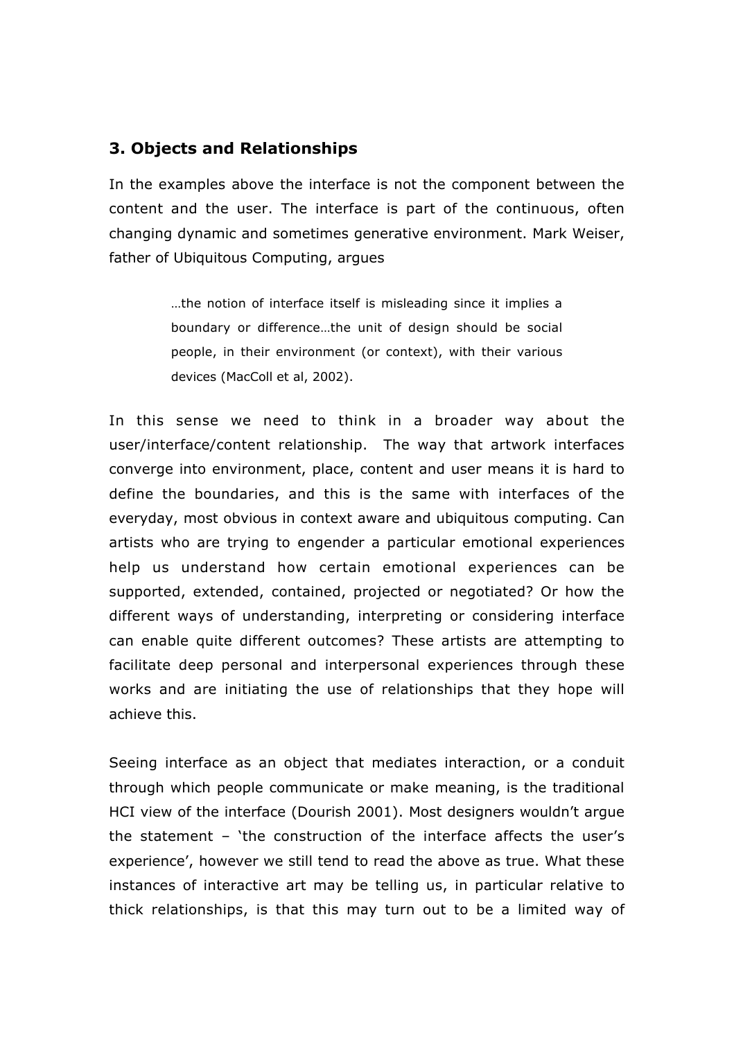#### **3. Objects and Relationships**

In the examples above the interface is not the component between the content and the user. The interface is part of the continuous, often changing dynamic and sometimes generative environment. Mark Weiser, father of Ubiquitous Computing, arques

> …the notion of interface itself is misleading since it implies a boundary or difference…the unit of design should be social people, in their environment (or context), with their various devices (MacColl et al, 2002).

In this sense we need to think in a broader way about the user/interface/content relationship. The way that artwork interfaces converge into environment, place, content and user means it is hard to define the boundaries, and this is the same with interfaces of the everyday, most obvious in context aware and ubiquitous computing. Can artists who are trying to engender a particular emotional experiences help us understand how certain emotional experiences can be supported, extended, contained, projected or negotiated? Or how the different ways of understanding, interpreting or considering interface can enable quite different outcomes? These artists are attempting to facilitate deep personal and interpersonal experiences through these works and are initiating the use of relationships that they hope will achieve this.

Seeing interface as an object that mediates interaction, or a conduit through which people communicate or make meaning, is the traditional HCI view of the interface (Dourish 2001). Most designers wouldn't argue the statement – 'the construction of the interface affects the user's experience', however we still tend to read the above as true. What these instances of interactive art may be telling us, in particular relative to thick relationships, is that this may turn out to be a limited way of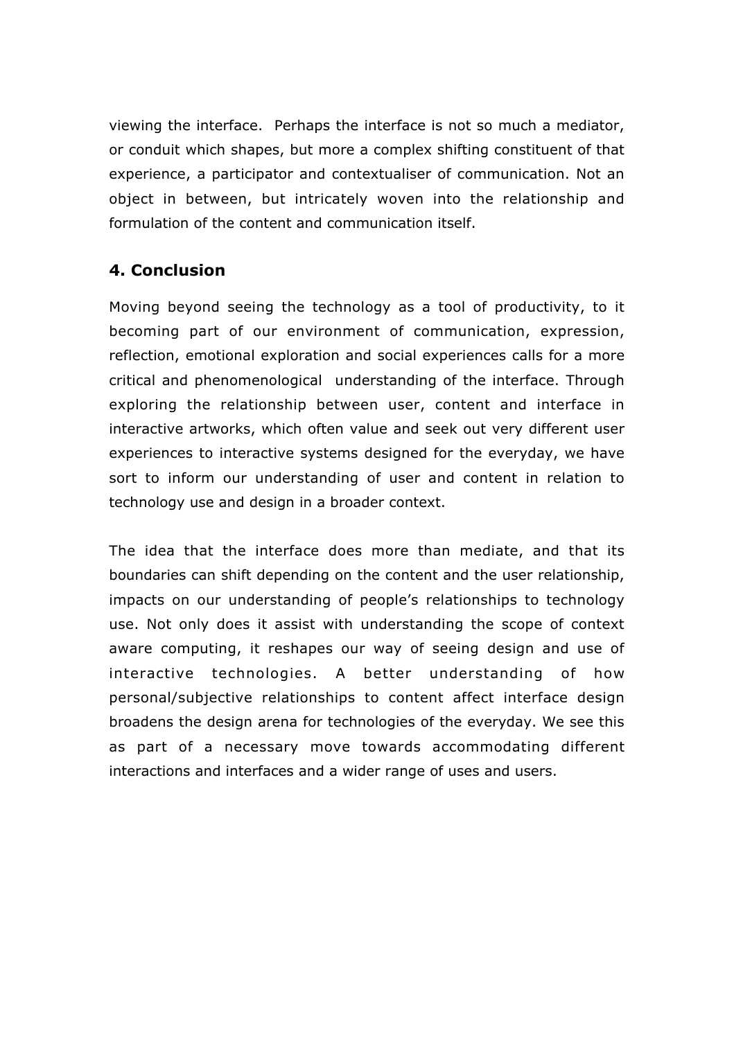viewing the interface. Perhaps the interface is not so much a mediator, or conduit which shapes, but more a complex shifting constituent of that experience, a participator and contextualiser of communication. Not an object in between, but intricately woven into the relationship and formulation of the content and communication itself.

## **4. Conclusion**

Moving beyond seeing the technology as a tool of productivity, to it becoming part of our environment of communication, expression, reflection, emotional exploration and social experiences calls for a more critical and phenomenological understanding of the interface. Through exploring the relationship between user, content and interface in interactive artworks, which often value and seek out very different user experiences to interactive systems designed for the everyday, we have sort to inform our understanding of user and content in relation to technology use and design in a broader context.

The idea that the interface does more than mediate, and that its boundaries can shift depending on the content and the user relationship, impacts on our understanding of people's relationships to technology use. Not only does it assist with understanding the scope of context aware computing, it reshapes our way of seeing design and use of interactive technologies. A better understanding of how personal/subjective relationships to content affect interface design broadens the design arena for technologies of the everyday. We see this as part of a necessary move towards accommodating different interactions and interfaces and a wider range of uses and users.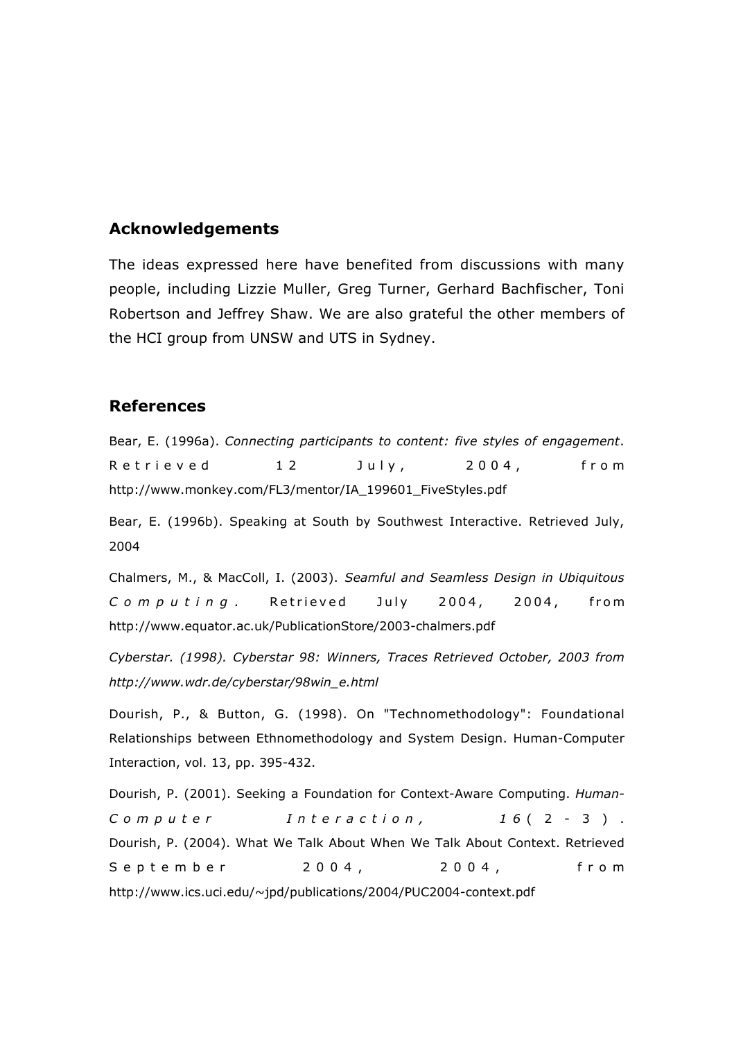#### **Acknowledgements**

The ideas expressed here have benefited from discussions with many people, including Lizzie Muller, Greg Turner, Gerhard Bachfischer, Toni Robertson and Jeffrey Shaw. We are also grateful the other members of the HCI group from UNSW and UTS in Sydney.

#### **References**

Bear, E. (1996a). *Connecting participants to content: five styles of engagement*. Retrieved 12 July, 2004, from http://www.monkey.com/FL3/mentor/IA\_199601\_FiveStyles.pdf

Bear, E. (1996b). Speaking at South by Southwest Interactive. Retrieved July, 2004

Chalmers, M., & MacColl, I. (2003). *Seamful and Seamless Design in Ubiquitous Computing* . Retrieved July 2004, 2004, from http://www.equator.ac.uk/PublicationStore/2003-chalmers.pdf

*Cyberstar. (1998). Cyberstar 98: Winners, Traces Retrieved October, 2003 from http://www.wdr.de/cyberstar/98win\_e.html*

Dourish, P., & Button, G. (1998). On "Technomethodology": Foundational Relationships between Ethnomethodology and System Design. Human-Computer Interaction, vol. 13, pp. 395-432.

Dourish, P. (2001). Seeking a Foundation for Context-Aware Computing. *Human-Computer Interaction, 1 6* (2-3). Dourish, P. (2004). What We Talk About When We Talk About Context. Retrieved September 2004, 2004, from http://www.ics.uci.edu/~jpd/publications/2004/PUC2004-context.pdf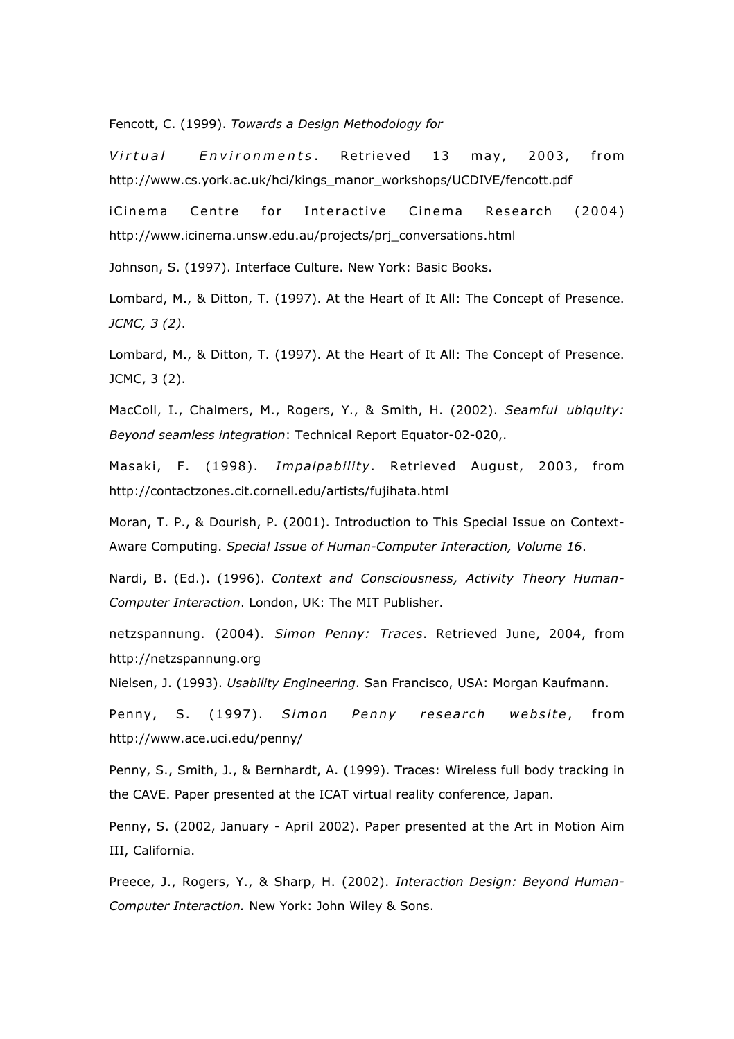Fencott, C. (1999). *Towards a Design Methodology for*

*Virtual Environments* . Retrieved 13 may, 2003, from http://www.cs.york.ac.uk/hci/kings\_manor\_workshops/UCDIVE/fencott.pdf

iCinema Centre for Interactive Cinema Research (2004) http://www.icinema.unsw.edu.au/projects/prj\_conversations.html

Johnson, S. (1997). Interface Culture. New York: Basic Books.

Lombard, M., & Ditton, T. (1997). At the Heart of It All: The Concept of Presence. *JCMC, 3 (2)*.

Lombard, M., & Ditton, T. (1997). At the Heart of It All: The Concept of Presence. JCMC, 3 (2).

MacColl, I., Chalmers, M., Rogers, Y., & Smith, H. (2002). *Seamful ubiquity: Beyond seamless integration*: Technical Report Equator-02-020,.

Masaki, F. (1998). *Impalpability*. Retrieved August, 2003, from http://contactzones.cit.cornell.edu/artists/fujihata.html

Moran, T. P., & Dourish, P. (2001). Introduction to This Special Issue on Context-Aware Computing. *Special Issue of Human-Computer Interaction, Volume 16*.

Nardi, B. (Ed.). (1996). *Context and Consciousness, Activity Theory Human-Computer Interaction*. London, UK: The MIT Publisher.

netzspannung. (2004). *Simon Penny: Traces*. Retrieved June, 2004, from http://netzspannung.org

Nielsen, J. (1993). *Usability Engineering*. San Francisco, USA: Morgan Kaufmann.

Penny, S. (1997). *Simon Penny research website*, from http://www.ace.uci.edu/penny/

Penny, S., Smith, J., & Bernhardt, A. (1999). Traces: Wireless full body tracking in the CAVE. Paper presented at the ICAT virtual reality conference, Japan.

Penny, S. (2002, January - April 2002). Paper presented at the Art in Motion Aim III, California.

Preece, J., Rogers, Y., & Sharp, H. (2002). *Interaction Design: Beyond Human-Computer Interaction.* New York: John Wiley & Sons.